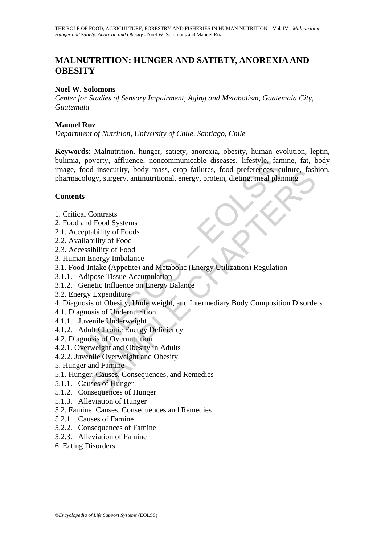# **MALNUTRITION: HUNGER AND SATIETY, ANOREXIA AND OBESITY**

## **Noel W. Solomons**

*Center for Studies of Sensory Impairment, Aging and Metabolism, Guatemala City, Guatemala* 

## **Manuel Ruz**

*Department of Nutrition, University of Chile, Santiago, Chile* 

, poverty, affluence, noncommunicable diseases, lifestyle, fan<br>food insecurity, body mass, crop failures, food preferences, cr<br>cology, surgery, antinutritional, energy, protein, dieting, meal plar<br>**ts**<br>and Food Systems<br>and of msecurity, body mass, crop railwres, tood preferences, culture, rasm<br>ggy, surgery, antinutritional, energy, protein, dieting, meal planning<br>Contrasts<br>Hood Systems<br>dibility of Food<br>isibility of Food<br>isibility of Food<br>isi **Keywords**: Malnutrition, hunger, satiety, anorexia, obesity, human evolution, leptin, bulimia, poverty, affluence, noncommunicable diseases, lifestyle, famine, fat, body image, food insecurity, body mass, crop failures, food preferences, culture, fashion, pharmacology, surgery, antinutritional, energy, protein, dieting, meal planning

### **Contents**

- 1. Critical Contrasts
- 2. Food and Food Systems
- 2.1. Acceptability of Foods
- 2.2. Availability of Food
- 2.3. Accessibility of Food
- 3. Human Energy Imbalance
- 3.1. Food-Intake (Appetite) and Metabolic (Energy Utilization) Regulation
- 3.1.1. Adipose Tissue Accumulation
- 3.1.2. Genetic Influence on Energy Balance
- 3.2. Energy Expenditure
- 4. Diagnosis of Obesity, Underweight, and Intermediary Body Composition Disorders
- 4.1. Diagnosis of Undernutrition
- 4.1.1. Juvenile Underweight
- 4.1.2. Adult Chronic Energy Deficiency
- 4.2. Diagnosis of Overnutrition
- 4.2.1. Overweight and Obesity in Adults
- 4.2.2. Juvenile Overweight and Obesity
- 5. Hunger and Famine
- 5.1. Hunger: Causes, Consequences, and Remedies
- 5.1.1. Causes of Hunger
- 5.1.2. Consequences of Hunger
- 5.1.3. Alleviation of Hunger
- 5.2. Famine: Causes, Consequences and Remedies
- 5.2.1 Causes of Famine
- 5.2.2. Consequences of Famine
- 5.2.3. Alleviation of Famine
- 6. Eating Disorders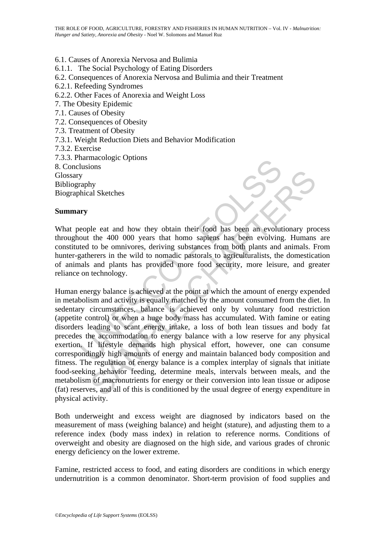6.1. Causes of Anorexia Nervosa and Bulimia 6.1.1. The Social Psychology of Eating Disorders 6.2. Consequences of Anorexia Nervosa and Bulimia and their Treatment 6.2.1. Refeeding Syndromes 6.2.2. Other Faces of Anorexia and Weight Loss 7. The Obesity Epidemic 7.1. Causes of Obesity 7.2. Consequences of Obesity 7.3. Treatment of Obesity 7.3.1. Weight Reduction Diets and Behavior Modification 7.3.2. Exercise 7.3.3. Pharmacologic Options 8. Conclusions Glossary Bibliography Biographical Sketches

### **Summary**

What people eat and how they obtain their food has been an evolutionary process throughout the 400 000 years that homo sapiens has been evolving. Humans are constituted to be omnivores, deriving substances from both plants and animals. From hunter-gatherers in the wild to nomadic pastorals to agriculturalists, the domestication of animals and plants has provided more food security, more leisure, and greater reliance on technology.

UNESCO – EOLSS The east and how they obtain their food has been an evolutionary pro<br>the 400 000 years that homo sapiens has been an evolutionary pro<br>the 400 000 years that homo sapiens has been evolving. Humans<br>to be omnivores, deriving Human energy balance is achieved at the point at which the amount of energy expended in metabolism and activity is equally matched by the amount consumed from the diet. In sedentary circumstances, balance is achieved only by voluntary food restriction (appetite control) or when a huge body mass has accumulated. With famine or eating disorders leading to scant energy intake, a loss of both lean tissues and body fat precedes the accommodation to energy balance with a low reserve for any physical exertion. If lifestyle demands high physical effort, however, one can consume correspondingly high amounts of energy and maintain balanced body composition and fitness. The regulation of energy balance is a complex interplay of signals that initiate food-seeking behavior feeding, determine meals, intervals between meals, and the metabolism of macronutrients for energy or their conversion into lean tissue or adipose (fat) reserves, and all of this is conditioned by the usual degree of energy expenditure in physical activity.

Both underweight and excess weight are diagnosed by indicators based on the measurement of mass (weighing balance) and height (stature), and adjusting them to a reference index (body mass index) in relation to reference norms. Conditions of overweight and obesity are diagnosed on the high side, and various grades of chronic energy deficiency on the lower extreme.

Famine, restricted access to food, and eating disorders are conditions in which energy undernutrition is a common denominator. Short-term provision of food supplies and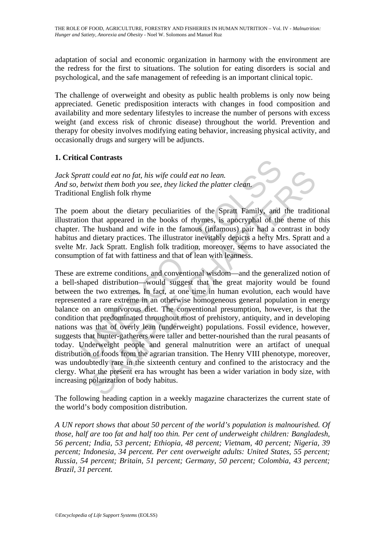adaptation of social and economic organization in harmony with the environment are the redress for the first to situations. The solution for eating disorders is social and psychological, and the safe management of refeeding is an important clinical topic.

The challenge of overweight and obesity as public health problems is only now being appreciated. Genetic predisposition interacts with changes in food composition and availability and more sedentary lifestyles to increase the number of persons with excess weight (and excess risk of chronic disease) throughout the world. Prevention and therapy for obesity involves modifying eating behavior, increasing physical activity, and occasionally drugs and surgery will be adjuncts.

# **1. Critical Contrasts**

*Jack Spratt could eat no fat, his wife could eat no lean. And so, betwixt them both you see, they licked the platter clean.*  Traditional English folk rhyme

The poem about the dietary peculiarities of the Spratt Family, and the traditional illustration that appeared in the books of rhymes, is apocryphal of the theme of this chapter. The husband and wife in the famous (infamous) pair had a contrast in body habitus and dietary practices. The illustrator inevitably depicts a hefty Mrs. Spratt and a svelte Mr. Jack Spratt. English folk tradition, moreover, seems to have associated the consumption of fat with fattiness and that of lean with leanness.

ratt could eat no fat, his wife could eat no lean.<br>
betwixt them both you see, they licked the platter clean.<br>
betwixt them both you see, they licked the platter clean.<br>
and English folk rhyme<br>
em about the dietary peculia *t could eat no fat, his wife could eat no lean.*<br> *wixt them both you see, they licked the platter clean.*<br>
English folk rhyme<br>
about the dietary peculiarities of the Spratt Family, and the traditi<br>
that appeared in the b These are extreme conditions, and conventional wisdom—and the generalized notion of a bell-shaped distribution—would suggest that the great majority would be found between the two extremes. In fact, at one time in human evolution, each would have represented a rare extreme in an otherwise homogeneous general population in energy balance on an omnivorous diet. The conventional presumption, however, is that the condition that predominated throughout most of prehistory, antiquity, and in developing nations was that of overly lean (underweight) populations. Fossil evidence, however, suggests that hunter-gatherers were taller and better-nourished than the rural peasants of today. Underweight people and general malnutrition were an artifact of unequal distribution of foods from the agrarian transition. The Henry VIII phenotype, moreover, was undoubtedly rare in the sixteenth century and confined to the aristocracy and the clergy. What the present era has wrought has been a wider variation in body size, with increasing polarization of body habitus.

The following heading caption in a weekly magazine characterizes the current state of the world's body composition distribution.

*A UN report shows that about 50 percent of the world's population is malnourished. Of those, half are too fat and half too thin. Per cent of underweight children: Bangladesh, 56 percent; India, 53 percent; Ethiopia, 48 percent; Vietnam, 40 percent; Nigeria, 39 percent; Indonesia, 34 percent. Per cent overweight adults: United States, 55 percent; Russia, 54 percent; Britain, 51 percent; Germany, 50 percent; Colombia, 43 percent; Brazil, 31 percent.*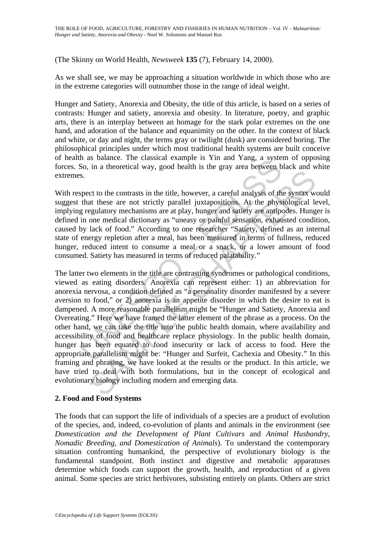(The Skinny on World Health, *Newsweek* **135** (7), February 14, 2000).

As we shall see, we may be approaching a situation worldwide in which those who are in the extreme categories will outnumber those in the range of ideal weight.

Hunger and Satiety, Anorexia and Obesity, the title of this article, is based on a series of contrasts: Hunger and satiety, anorexia and obesity. In literature, poetry, and graphic arts, there is an interplay between an homage for the stark polar extremes on the one hand, and adoration of the balance and equanimity on the other. In the context of black and white, or day and night, the terms gray or twilight (dusk) are considered boring. The philosophical principles under which most traditional health systems are built conceive of health as balance. The classical example is Yin and Yang, a system of opposing forces. So, in a theoretical way, good health is the gray area between black and white extremes.

With respect to the contrasts in the title, however, a careful analysis of the syntax would suggest that these are not strictly parallel juxtapositions. At the physiological level, implying regulatory mechanisms are at play, hunger and satiety are antipodes. Hunger is defined in one medical dictionary as "uneasy or painful sensation, exhausted condition, caused by lack of food." According to one researcher "Satiety, defined as an internal state of energy repletion after a meal, has been measured in terms of fullness, reduced hunger, reduced intent to consume a meal or a snack, or a lower amount of food consumed. Satiety has measured in terms of reduced palatability."

It as batance. The classical example is Tim and Tang, a systemetric and a real of So, in a theoretical way, good health is the gray area between b So.<br>So, in a theoretical way, good health is the gray area between b S.<br>S.<br> In a measure and state of the time and state of the syntax was the contrasts in the title, however, a careful analysis of the syntax was the these are not strictly parallel juxtapositions. At the physiological legulatory m The latter two elements in the title are contrasting syndromes or pathological conditions, viewed as eating disorders. Anorexia can represent either: 1) an abbreviation for anorexia nervosa, a condition defined as "a personality disorder manifested by a severe aversion to food," or 2) anorexia is an appetite disorder in which the desire to eat is dampened. A more reasonable parallelism might be "Hunger and Satiety, Anorexia and Overeating." Here we have framed the latter element of the phrase as a process. On the other hand, we can take the title into the public health domain, where availability and accessibility of food and healthcare replace physiology. In the public health domain, hunger has been equated to food insecurity or lack of access to food. Here the appropriate parallelism might be: "Hunger and Surfeit, Cachexia and Obesity." In this framing and phrasing, we have looked at the results or the product. In this article, we have tried to deal with both formulations, but in the concept of ecological and evolutionary biology including modern and emerging data.

### **2. Food and Food Systems**

The foods that can support the life of individuals of a species are a product of evolution of the species, and, indeed, co-evolution of plants and animals in the environment (see *Domestication and the Development of Plant Cultivars* and *Animal Husbandry, Nomadic Breeding, and Domestication of Animals*). To understand the contemporary situation confronting humankind, the perspective of evolutionary biology is the fundamental standpoint. Both instinct and digestive and metabolic apparatuses determine which foods can support the growth, health, and reproduction of a given animal. Some species are strict herbivores, subsisting entirely on plants. Others are strict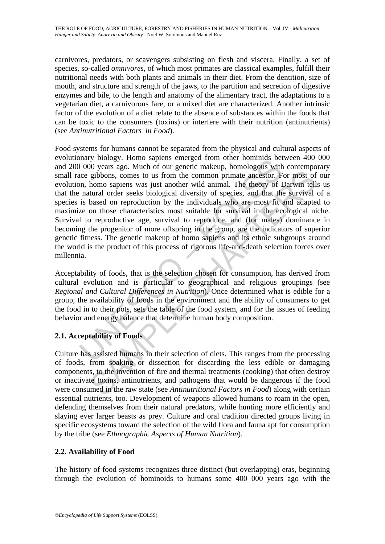carnivores, predators, or scavengers subsisting on flesh and viscera. Finally, a set of species, so-called *omnivores*, of which most primates are classical examples, fulfill their nutritional needs with both plants and animals in their diet. From the dentition, size of mouth, and structure and strength of the jaws, to the partition and secretion of digestive enzymes and bile, to the length and anatomy of the alimentary tract, the adaptations to a vegetarian diet, a carnivorous fare, or a mixed diet are characterized. Another intrinsic factor of the evolution of a diet relate to the absence of substances within the foods that can be toxic to the consumers (toxins) or interfere with their nutrition (antinutrients) (see *Antinutritional Factors in Food*).

many brootgy. Thom sapies emieped mon outer nominals been<br>not been alternated to produce and the sense that the sense entired monograph. And the sense are subbons, comes to us from the common primate ancestor. Fun, homo sa gibbons, comes to us from the common primate ancestor. For most of homo sapiens was just another wild animal. The theory of Darwin tell<br>turnd order seeks biological diversity of species, and that the survival<br>based on rep Food systems for humans cannot be separated from the physical and cultural aspects of evolutionary biology. Homo sapiens emerged from other hominids between 400 000 and 200 000 years ago. Much of our genetic makeup, homologous with contemporary small race gibbons, comes to us from the common primate ancestor. For most of our evolution, homo sapiens was just another wild animal. The theory of Darwin tells us that the natural order seeks biological diversity of species, and that the survival of a species is based on reproduction by the individuals who are most fit and adapted to maximize on those characteristics most suitable for survival in the ecological niche. Survival to reproductive age, survival to reproduce, and (for males) dominance in becoming the progenitor of more offspring in the group, are the indicators of superior genetic fitness. The genetic makeup of homo sapiens and its ethnic subgroups around the world is the product of this process of rigorous life-and-death selection forces over millennia.

Acceptability of foods, that is the selection chosen for consumption, has derived from cultural evolution and is particular to geographical and religious groupings (see *Regional and Cultural Differences in Nutrition*). Once determined what is edible for a group, the availability of foods in the environment and the ability of consumers to get the food in to their pots, sets the table of the food system, and for the issues of feeding behavior and energy balance that determine human body composition.

# **2.1. Acceptability of Foods**

Culture has assisted humans in their selection of diets. This ranges from the processing of foods, from soaking or dissection for discarding the less edible or damaging components, to the invention of fire and thermal treatments (cooking) that often destroy or inactivate toxins, antinutrients, and pathogens that would be dangerous if the food were consumed in the raw state (see *Antinutritional Factors in Food*) along with certain essential nutrients, too. Development of weapons allowed humans to roam in the open, defending themselves from their natural predators, while hunting more efficiently and slaying ever larger beasts as prey. Culture and oral tradition directed groups living in specific ecosystems toward the selection of the wild flora and fauna apt for consumption by the tribe (see *Ethnographic Aspects of Human Nutrition*).

# **2.2. Availability of Food**

The history of food systems recognizes three distinct (but overlapping) eras, beginning through the evolution of hominoids to humans some 400 000 years ago with the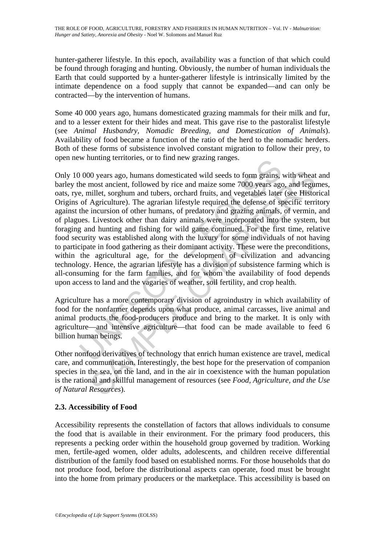hunter-gatherer lifestyle. In this epoch, availability was a function of that which could be found through foraging and hunting. Obviously, the number of human individuals the Earth that could supported by a hunter-gatherer lifestyle is intrinsically limited by the intimate dependence on a food supply that cannot be expanded—and can only be contracted—by the intervention of humans.

Some 40 000 years ago, humans domesticated grazing mammals for their milk and fur, and to a lesser extent for their hides and meat. This gave rise to the pastoralist lifestyle (see *Animal Husbandry, Nomadic Breeding, and Domestication of Animals*). Availability of food became a function of the ratio of the herd to the nomadic herders. Both of these forms of subsistence involved constant migration to follow their prey, to open new hunting territories, or to find new grazing ranges.

W multing territories, or to find new grazing ranges.<br>
1000 years ago, humans domesticated wild seeds to form grains,<br>
he most ancient, followed by rice and maize some 7000 years age<br>
e, millet, sorghum and tubers, orchard 00 years ago, humans domesticated wild seeds to form grains, with wheat<br>most ancient, followed by rice and maize some 7000 years ago, and leguillet, sorghum and tubers, orchard fruits, and vegetables later (see Histor<br>Agri Only 10 000 years ago, humans domesticated wild seeds to form grains, with wheat and barley the most ancient, followed by rice and maize some 7000 years ago, and legumes, oats, rye, millet, sorghum and tubers, orchard fruits, and vegetables later (see Historical Origins of Agriculture). The agrarian lifestyle required the defense of specific territory against the incursion of other humans, of predatory and grazing animals, of vermin, and of plagues. Livestock other than dairy animals were incorporated into the system, but foraging and hunting and fishing for wild game continued. For the first time, relative food security was established along with the luxury for some individuals of not having to participate in food gathering as their dominant activity. These were the preconditions, within the agricultural age, for the development of civilization and advancing technology. Hence, the agrarian lifestyle has a division of subsistence farming which is all-consuming for the farm families, and for whom the availability of food depends upon access to land and the vagaries of weather, soil fertility, and crop health.

Agriculture has a more contemporary division of agroindustry in which availability of food for the nonfarmer depends upon what produce, animal carcasses, live animal and animal products the food-producers produce and bring to the market. It is only with agriculture—and intensive agriculture—that food can be made available to feed 6 billion human beings.

Other nonfood derivatives of technology that enrich human existence are travel, medical care, and communication. Interestingly, the best hope for the preservation of companion species in the sea, on the land, and in the air in coexistence with the human population is the rational and skillful management of resources (see *Food, Agriculture, and the Use of Natural Resources*).

# **2.3. Accessibility of Food**

Accessibility represents the constellation of factors that allows individuals to consume the food that is available in their environment. For the primary food producers, this represents a pecking order within the household group governed by tradition. Working men, fertile-aged women, older adults, adolescents, and children receive differential distribution of the family food based on established norms. For those households that do not produce food, before the distributional aspects can operate, food must be brought into the home from primary producers or the marketplace. This accessibility is based on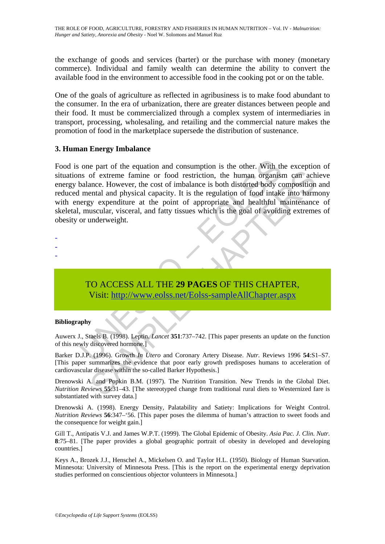the exchange of goods and services (barter) or the purchase with money (monetary commerce). Individual and family wealth can determine the ability to convert the available food in the environment to accessible food in the cooking pot or on the table.

One of the goals of agriculture as reflected in agribusiness is to make food abundant to the consumer. In the era of urbanization, there are greater distances between people and their food. It must be commercialized through a complex system of intermediaries in transport, processing, wholesaling, and retailing and the commercial nature makes the promotion of food in the marketplace supersede the distribution of sustenance.

### **3. Human Energy Imbalance**

one part of the equation and consumption is the other. With thus of extreme famine or food restriction, the human organist<br>balance. However, the cost of imbalance is both distorted body comental and physical capacity. It i of extreme famine or food restriction, the human organism can achance. However, the cost of imbalance is both distorted body composition<br>ental and physical capacity. It is the regulation of food intake into farmy typy expe Food is one part of the equation and consumption is the other. With the exception of situations of extreme famine or food restriction, the human organism can achieve energy balance. However, the cost of imbalance is both distorted body composition and reduced mental and physical capacity. It is the regulation of food intake into harmony with energy expenditure at the point of appropriate and healthful maintenance of skeletal, muscular, visceral, and fatty tissues which is the goal of avoiding extremes of obesity or underweight.

# TO ACCESS ALL THE **29 PAGES** OF THIS CHAPTER, Visit: http://www.eolss.net/Eolss-sampleAllChapter.aspx

#### **Bibliography**

- - -

Auwerx J., Staels B. (1998). Leptin. *Lancet* **351**:737–742. [This paper presents an update on the function of this newly discovered hormone.]

Barker D.J.P. (1996). Growth *In Utero* and Coronary Artery Disease. *Nutr.* Reviews 1996 **54**:S1–S7. [This paper summarizes the evidence that poor early growth predisposes humans to acceleration of cardiovascular disease within the so-called Barker Hypothesis.]

Drenowski A. and Popkin B.M. (1997). The Nutrition Transition. New Trends in the Global Diet. *Nutrition Reviews* **55**:31–43. [The stereotyped change from traditional rural diets to Westernized fare is substantiated with survey data.]

Drenowski A. (1998). Energy Density, Palatability and Satiety: Implications for Weight Control. *Nutrition Reviews* **56**:347–'56. [This paper poses the dilemma of human's attraction to sweet foods and the consequence for weight gain.]

Gill T., Antipatis V.J. and James W.P.T. (1999). The Global Epidemic of Obesity. *Asia Pac. J. Clin. Nutr.* **8**:75–81. [The paper provides a global geographic portrait of obesity in developed and developing countries.]

Keys A., Brozek J.J., Henschel A., Mickelsen O. and Taylor H.L. (1950). Biology of Human Starvation. Minnesota: University of Minnesota Press. [This is the report on the experimental energy deprivation studies performed on conscientious objector volunteers in Minnesota.]